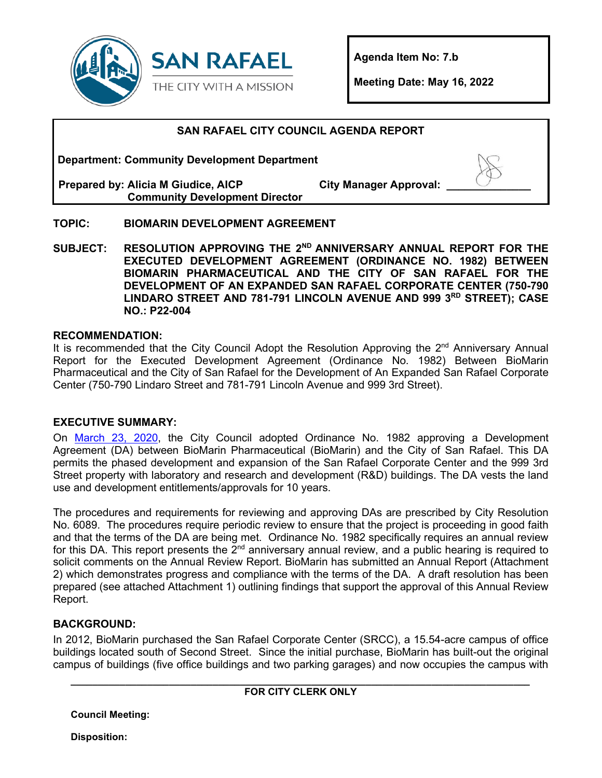

**Agenda Item No: 7.b** 

**Meeting Date: May 16, 2022** 

# **SAN RAFAEL CITY COUNCIL AGENDA REPORT**

**Department: Community Development Department**

**Prepared by: Alicia M Giudice, AICP Community Development Director** **City Manager Approval:** 

# **TOPIC: BIOMARIN DEVELOPMENT AGREEMENT**

**SUBJECT: RESOLUTION APPROVING THE 2ND ANNIVERSARY ANNUAL REPORT FOR THE EXECUTED DEVELOPMENT AGREEMENT (ORDINANCE NO. 1982) BETWEEN BIOMARIN PHARMACEUTICAL AND THE CITY OF SAN RAFAEL FOR THE DEVELOPMENT OF AN EXPANDED SAN RAFAEL CORPORATE CENTER (750-790 LINDARO STREET AND 781-791 LINCOLN AVENUE AND 999 3RD STREET); CASE NO.: P22-004** 

# **RECOMMENDATION:**

It is recommended that the City Council Adopt the Resolution Approving the  $2<sup>nd</sup>$  Anniversary Annual Report for the Executed Development Agreement (Ordinance No. 1982) Between BioMarin Pharmaceutical and the City of San Rafael for the Development of An Expanded San Rafael Corporate Center (750-790 Lindaro Street and 781-791 Lincoln Avenue and 999 3rd Street).

# **EXECUTIVE SUMMARY:**

On [March 23, 2020,](https://www.cityofsanrafael.org/meetings/city-council-successor-agency-2020-03-23/) the City Council adopted Ordinance No. 1982 approving a Development Agreement (DA) between BioMarin Pharmaceutical (BioMarin) and the City of San Rafael. This DA permits the phased development and expansion of the San Rafael Corporate Center and the 999 3rd Street property with laboratory and research and development (R&D) buildings. The DA vests the land use and development entitlements/approvals for 10 years.

The procedures and requirements for reviewing and approving DAs are prescribed by City Resolution No. 6089. The procedures require periodic review to ensure that the project is proceeding in good faith and that the terms of the DA are being met. Ordinance No. 1982 specifically requires an annual review for this DA. This report presents the  $\bar{2}^{nd}$  anniversary annual review, and a public hearing is required to solicit comments on the Annual Review Report. BioMarin has submitted an Annual Report (Attachment 2) which demonstrates progress and compliance with the terms of the DA. A draft resolution has been prepared (see attached Attachment 1) outlining findings that support the approval of this Annual Review Report.

# **BACKGROUND:**

In 2012, BioMarin purchased the San Rafael Corporate Center (SRCC), a 15.54-acre campus of office buildings located south of Second Street. Since the initial purchase, BioMarin has built-out the original campus of buildings (five office buildings and two parking garages) and now occupies the campus with

| <b>FOR CITY CLERK ONLY</b> |  |
|----------------------------|--|

**Council Meeting:** 

**Disposition:**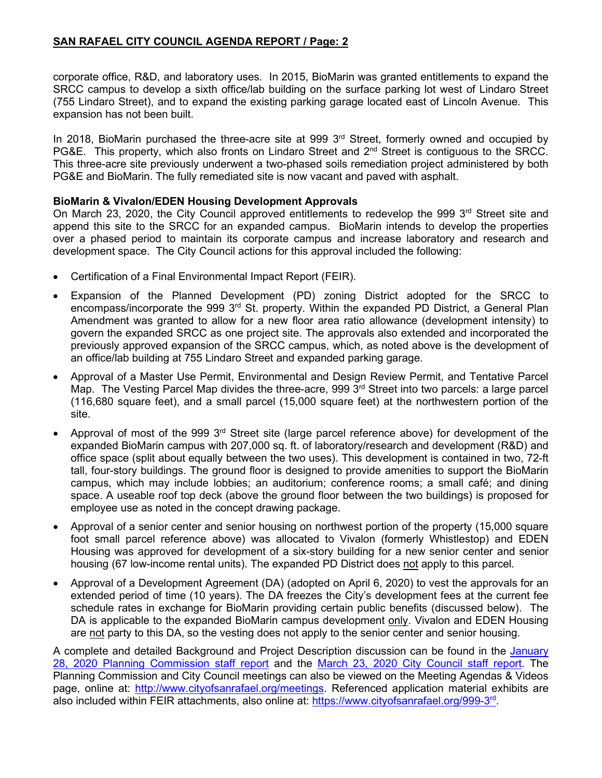# **SAN RAFAEL CITY COUNCIL AGENDA REPORT / Page: 2**

corporate office, R&D, and laboratory uses. In 2015, BioMarin was granted entitlements to expand the SRCC campus to develop a sixth office/lab building on the surface parking lot west of Lindaro Street (755 Lindaro Street), and to expand the existing parking garage located east of Lincoln Avenue. This expansion has not been built.

In 2018, BioMarin purchased the three-acre site at 999 3<sup>rd</sup> Street, formerly owned and occupied by PG&E. This property, which also fronts on Lindaro Street and 2<sup>nd</sup> Street is contiguous to the SRCC. This three-acre site previously underwent a two-phased soils remediation project administered by both PG&E and BioMarin. The fully remediated site is now vacant and paved with asphalt.

# **BioMarin & Vivalon/EDEN Housing Development Approvals**

On March 23, 2020, the City Council approved entitlements to redevelop the 999 3<sup>rd</sup> Street site and append this site to the SRCC for an expanded campus. BioMarin intends to develop the properties over a phased period to maintain its corporate campus and increase laboratory and research and development space. The City Council actions for this approval included the following:

- Certification of a Final Environmental Impact Report (FEIR).
- Expansion of the Planned Development (PD) zoning District adopted for the SRCC to encompass/incorporate the 999 3<sup>rd</sup> St. property. Within the expanded PD District, a General Plan Amendment was granted to allow for a new floor area ratio allowance (development intensity) to govern the expanded SRCC as one project site. The approvals also extended and incorporated the previously approved expansion of the SRCC campus, which, as noted above is the development of an office/lab building at 755 Lindaro Street and expanded parking garage.
- Approval of a Master Use Permit, Environmental and Design Review Permit, and Tentative Parcel Map. The Vesting Parcel Map divides the three-acre, 999 3<sup>rd</sup> Street into two parcels: a large parcel (116,680 square feet), and a small parcel (15,000 square feet) at the northwestern portion of the site.
- Approval of most of the 999 3<sup>rd</sup> Street site (large parcel reference above) for development of the expanded BioMarin campus with 207,000 sq. ft. of laboratory/research and development (R&D) and office space (split about equally between the two uses). This development is contained in two, 72-ft tall, four-story buildings. The ground floor is designed to provide amenities to support the BioMarin campus, which may include lobbies; an auditorium; conference rooms; a small café; and dining space. A useable roof top deck (above the ground floor between the two buildings) is proposed for employee use as noted in the concept drawing package.
- Approval of a senior center and senior housing on northwest portion of the property (15,000 square foot small parcel reference above) was allocated to Vivalon (formerly Whistlestop) and EDEN Housing was approved for development of a six-story building for a new senior center and senior housing (67 low-income rental units). The expanded PD District does not apply to this parcel.
- Approval of a Development Agreement (DA) (adopted on April 6, 2020) to vest the approvals for an extended period of time (10 years). The DA freezes the City's development fees at the current fee schedule rates in exchange for BioMarin providing certain public benefits (discussed below). The DA is applicable to the expanded BioMarin campus development only. Vivalon and EDEN Housing are not party to this DA, so the vesting does not apply to the senior center and senior housing.

A complete and detailed Background and Project Description discussion can be found in the [January](https://storage.googleapis.com/proudcity/sanrafaelca/uploads/2020/02/FinalPCPacket012820.pdf#page=4)  28, 2020 [Planning Commission staff report](https://storage.googleapis.com/proudcity/sanrafaelca/uploads/2020/02/FinalPCPacket012820.pdf#page=4) and the [March 23, 2020 City Council staff report.](https://www.cityofsanrafael.org/meetings/city-council-successor-agency-2020-03-23/) The Planning Commission and City Council meetings can also be viewed on the Meeting Agendas & Videos page, online at: [http://www.cityofsanrafael.org/meetings.](http://www.cityofsanrafael.org/meetings/) Referenced application material exhibits are also included within FEIR attachments, also online at: [https://www.cityofsanrafael.org/999-3rd.](https://www.cityofsanrafael.org/999-3rd)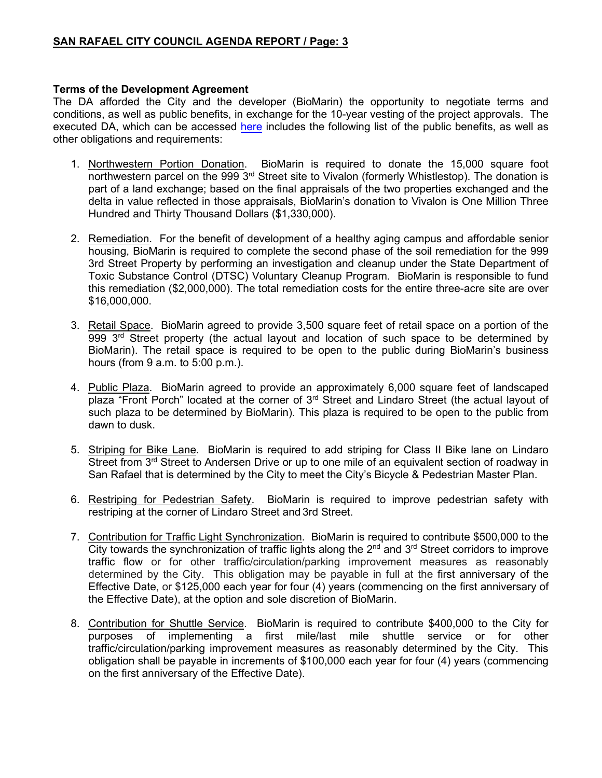### **Terms of the Development Agreement**

The DA afforded the City and the developer (BioMarin) the opportunity to negotiate terms and conditions, as well as public benefits, in exchange for the 10-year vesting of the project approvals. The executed DA, which can be accessed [here](https://storage.googleapis.com/proudcity/sanrafaelca/uploads/2020/09/BioMarin-DevelopmentAgmt-Signed.pdf) includes the following list of the public benefits, as well as other obligations and requirements:

- 1. Northwestern Portion Donation. BioMarin is required to donate the 15,000 square foot northwestern parcel on the 999 3<sup>rd</sup> Street site to Vivalon (formerly Whistlestop). The donation is part of a land exchange; based on the final appraisals of the two properties exchanged and the delta in value reflected in those appraisals, BioMarin's donation to Vivalon is One Million Three Hundred and Thirty Thousand Dollars (\$1,330,000).
- 2. Remediation. For the benefit of development of a healthy aging campus and affordable senior housing, BioMarin is required to complete the second phase of the soil remediation for the 999 3rd Street Property by performing an investigation and cleanup under the State Department of Toxic Substance Control (DTSC) Voluntary Cleanup Program. BioMarin is responsible to fund this remediation (\$2,000,000). The total remediation costs for the entire three-acre site are over \$16,000,000.
- 3. Retail Space. BioMarin agreed to provide 3,500 square feet of retail space on a portion of the 999 3<sup>rd</sup> Street property (the actual layout and location of such space to be determined by BioMarin). The retail space is required to be open to the public during BioMarin's business hours (from 9 a.m. to 5:00 p.m.).
- 4. Public Plaza. BioMarin agreed to provide an approximately 6,000 square feet of landscaped plaza "Front Porch" located at the corner of 3<sup>rd</sup> Street and Lindaro Street (the actual layout of such plaza to be determined by BioMarin). This plaza is required to be open to the public from dawn to dusk.
- 5. Striping for Bike Lane. BioMarin is required to add striping for Class II Bike lane on Lindaro Street from 3<sup>rd</sup> Street to Andersen Drive or up to one mile of an equivalent section of roadway in San Rafael that is determined by the City to meet the City's Bicycle & Pedestrian Master Plan.
- 6. Restriping for Pedestrian Safety. BioMarin is required to improve pedestrian safety with restriping at the corner of Lindaro Street and 3rd Street.
- 7. Contribution for Traffic Light Synchronization. BioMarin is required to contribute \$500,000 to the City towards the synchronization of traffic lights along the  $2<sup>nd</sup>$  and  $3<sup>rd</sup>$  Street corridors to improve traffic flow or for other traffic/circulation/parking improvement measures as reasonably determined by the City. This obligation may be payable in full at the first anniversary of the Effective Date, or \$125,000 each year for four (4) years (commencing on the first anniversary of the Effective Date), at the option and sole discretion of BioMarin.
- 8. Contribution for Shuttle Service. BioMarin is required to contribute \$400,000 to the City for purposes of implementing a first mile/last mile shuttle service or for other traffic/circulation/parking improvement measures as reasonably determined by the City. This obligation shall be payable in increments of \$100,000 each year for four (4) years (commencing on the first anniversary of the Effective Date).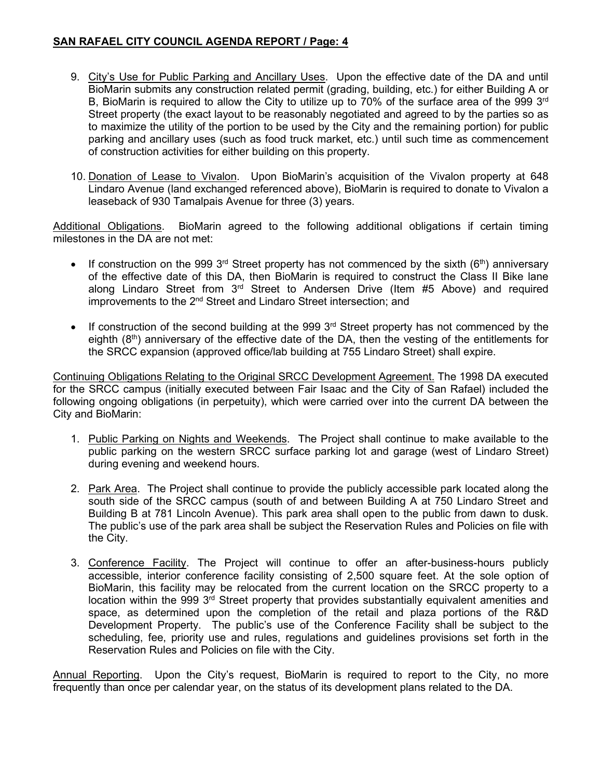# **SAN RAFAEL CITY COUNCIL AGENDA REPORT / Page: 4**

- 9. City's Use for Public Parking and Ancillary Uses. Upon the effective date of the DA and until BioMarin submits any construction related permit (grading, building, etc.) for either Building A or B, BioMarin is required to allow the City to utilize up to 70% of the surface area of the 999  $3<sup>rd</sup>$ Street property (the exact layout to be reasonably negotiated and agreed to by the parties so as to maximize the utility of the portion to be used by the City and the remaining portion) for public parking and ancillary uses (such as food truck market, etc.) until such time as commencement of construction activities for either building on this property.
- 10. Donation of Lease to Vivalon. Upon BioMarin's acquisition of the Vivalon property at 648 Lindaro Avenue (land exchanged referenced above), BioMarin is required to donate to Vivalon a leaseback of 930 Tamalpais Avenue for three (3) years.

Additional Obligations. BioMarin agreed to the following additional obligations if certain timing milestones in the DA are not met:

- If construction on the 999 3<sup>rd</sup> Street property has not commenced by the sixth (6<sup>th</sup>) anniversary of the effective date of this DA, then BioMarin is required to construct the Class II Bike lane along Lindaro Street from  $3<sup>rd</sup>$  Street to Andersen Drive (Item #5 Above) and required improvements to the 2<sup>nd</sup> Street and Lindaro Street intersection: and
- If construction of the second building at the 999  $3<sup>rd</sup>$  Street property has not commenced by the eighth  $(8<sup>th</sup>)$  anniversary of the effective date of the DA, then the vesting of the entitlements for the SRCC expansion (approved office/lab building at 755 Lindaro Street) shall expire.

Continuing Obligations Relating to the Original SRCC Development Agreement. The 1998 DA executed for the SRCC campus (initially executed between Fair Isaac and the City of San Rafael) included the following ongoing obligations (in perpetuity), which were carried over into the current DA between the City and BioMarin:

- 1. Public Parking on Nights and Weekends. The Project shall continue to make available to the public parking on the western SRCC surface parking lot and garage (west of Lindaro Street) during evening and weekend hours.
- 2. Park Area. The Project shall continue to provide the publicly accessible park located along the south side of the SRCC campus (south of and between Building A at 750 Lindaro Street and Building B at 781 Lincoln Avenue). This park area shall open to the public from dawn to dusk. The public's use of the park area shall be subject the Reservation Rules and Policies on file with the City.
- 3. Conference Facility. The Project will continue to offer an after-business-hours publicly accessible, interior conference facility consisting of 2,500 square feet. At the sole option of BioMarin, this facility may be relocated from the current location on the SRCC property to a location within the 999  $3<sup>rd</sup>$  Street property that provides substantially equivalent amenities and space, as determined upon the completion of the retail and plaza portions of the R&D Development Property. The public's use of the Conference Facility shall be subject to the scheduling, fee, priority use and rules, regulations and guidelines provisions set forth in the Reservation Rules and Policies on file with the City.

Annual Reporting. Upon the City's request, BioMarin is required to report to the City, no more frequently than once per calendar year, on the status of its development plans related to the DA.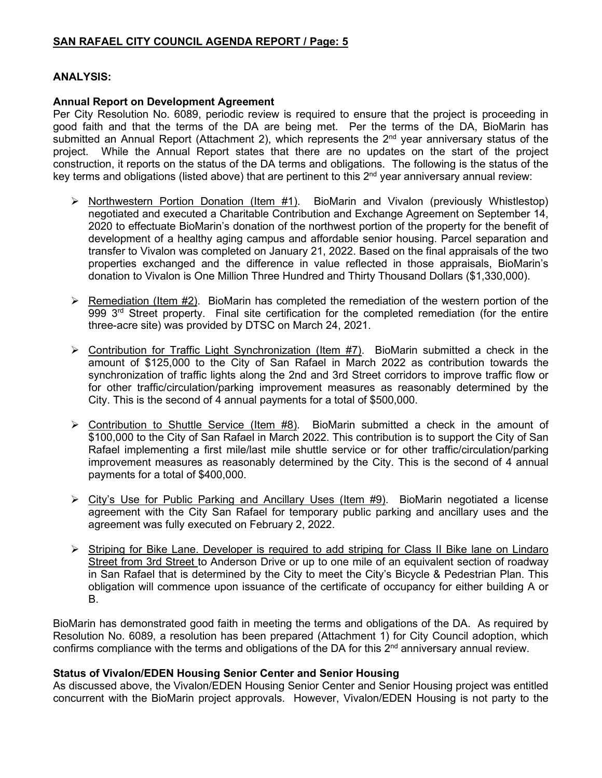# **ANALYSIS:**

#### **Annual Report on Development Agreement**

Per City Resolution No. 6089, periodic review is required to ensure that the project is proceeding in good faith and that the terms of the DA are being met. Per the terms of the DA, BioMarin has submitted an Annual Report (Attachment 2), which represents the 2<sup>nd</sup> year anniversary status of the project. While the Annual Report states that there are no updates on the start of the project construction, it reports on the status of the DA terms and obligations. The following is the status of the key terms and obligations (listed above) that are pertinent to this 2<sup>nd</sup> year anniversary annual review:

- $\triangleright$  Northwestern Portion Donation (Item #1). BioMarin and Vivalon (previously Whistlestop) negotiated and executed a Charitable Contribution and Exchange Agreement on September 14, 2020 to effectuate BioMarin's donation of the northwest portion of the property for the benefit of development of a healthy aging campus and affordable senior housing. Parcel separation and transfer to Vivalon was completed on January 21, 2022. Based on the final appraisals of the two properties exchanged and the difference in value reflected in those appraisals, BioMarin's donation to Vivalon is One Million Three Hundred and Thirty Thousand Dollars (\$1,330,000).
- $\triangleright$  Remediation (Item #2). BioMarin has completed the remediation of the western portion of the 999 3<sup>rd</sup> Street property. Final site certification for the completed remediation (for the entire three-acre site) was provided by DTSC on March 24, 2021.
- $\triangleright$  Contribution for Traffic Light Synchronization (Item #7). BioMarin submitted a check in the amount of \$125,000 to the City of San Rafael in March 2022 as contribution towards the synchronization of traffic lights along the 2nd and 3rd Street corridors to improve traffic flow or for other traffic/circulation/parking improvement measures as reasonably determined by the City. This is the second of 4 annual payments for a total of \$500,000.
- $\triangleright$  Contribution to Shuttle Service (Item #8). BioMarin submitted a check in the amount of \$100,000 to the City of San Rafael in March 2022. This contribution is to support the City of San Rafael implementing a first mile/last mile shuttle service or for other traffic/circulation/parking improvement measures as reasonably determined by the City. This is the second of 4 annual payments for a total of \$400,000.
- City's Use for Public Parking and Ancillary Uses (Item #9). BioMarin negotiated a license agreement with the City San Rafael for temporary public parking and ancillary uses and the agreement was fully executed on February 2, 2022.
- $\triangleright$  Striping for Bike Lane. Developer is required to add striping for Class II Bike lane on Lindaro Street from 3rd Street to Anderson Drive or up to one mile of an equivalent section of roadway in San Rafael that is determined by the City to meet the City's Bicycle & Pedestrian Plan. This obligation will commence upon issuance of the certificate of occupancy for either building A or B.

BioMarin has demonstrated good faith in meeting the terms and obligations of the DA. As required by Resolution No. 6089, a resolution has been prepared (Attachment 1) for City Council adoption, which confirms compliance with the terms and obligations of the DA for this  $2<sup>nd</sup>$  anniversary annual review.

# **Status of Vivalon/EDEN Housing Senior Center and Senior Housing**

As discussed above, the Vivalon/EDEN Housing Senior Center and Senior Housing project was entitled concurrent with the BioMarin project approvals. However, Vivalon/EDEN Housing is not party to the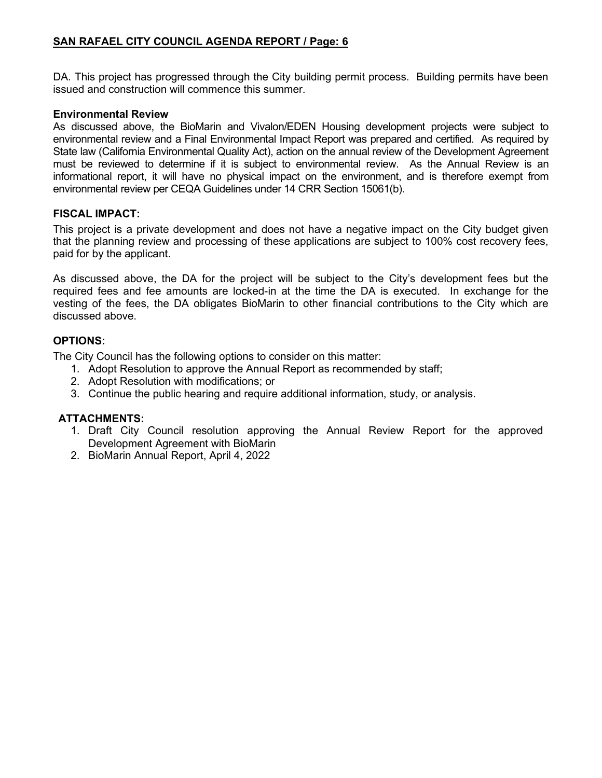# **SAN RAFAEL CITY COUNCIL AGENDA REPORT / Page: 6**

DA. This project has progressed through the City building permit process. Building permits have been issued and construction will commence this summer.

#### **Environmental Review**

As discussed above, the BioMarin and Vivalon/EDEN Housing development projects were subject to environmental review and a Final Environmental Impact Report was prepared and certified. As required by State law (California Environmental Quality Act), action on the annual review of the Development Agreement must be reviewed to determine if it is subject to environmental review. As the Annual Review is an informational report, it will have no physical impact on the environment, and is therefore exempt from environmental review per CEQA Guidelines under 14 CRR Section 15061(b).

#### **FISCAL IMPACT:**

This project is a private development and does not have a negative impact on the City budget given that the planning review and processing of these applications are subject to 100% cost recovery fees, paid for by the applicant.

As discussed above, the DA for the project will be subject to the City's development fees but the required fees and fee amounts are locked-in at the time the DA is executed. In exchange for the vesting of the fees, the DA obligates BioMarin to other financial contributions to the City which are discussed above.

#### **OPTIONS:**

The City Council has the following options to consider on this matter:

- 1. Adopt Resolution to approve the Annual Report as recommended by staff;
- 2. Adopt Resolution with modifications; or
- 3. Continue the public hearing and require additional information, study, or analysis.

# **ATTACHMENTS:**

- 1. Draft City Council resolution approving the Annual Review Report for the approved Development Agreement with BioMarin
- 2. BioMarin Annual Report, April 4, 2022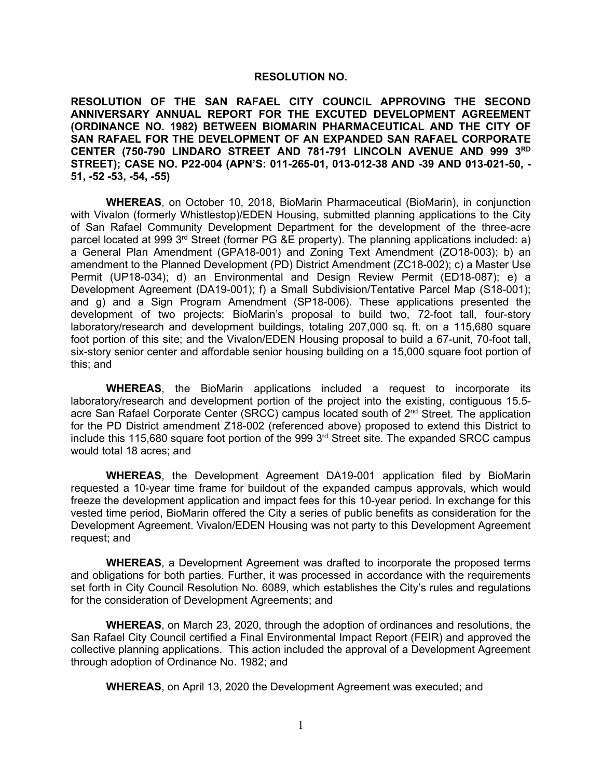#### **RESOLUTION NO.**

**RESOLUTION OF THE SAN RAFAEL CITY COUNCIL APPROVING THE SECOND ANNIVERSARY ANNUAL REPORT FOR THE EXCUTED DEVELOPMENT AGREEMENT (ORDINANCE NO. 1982) BETWEEN BIOMARIN PHARMACEUTICAL AND THE CITY OF SAN RAFAEL FOR THE DEVELOPMENT OF AN EXPANDED SAN RAFAEL CORPORATE CENTER (750-790 LINDARO STREET AND 781-791 LINCOLN AVENUE AND 999 3RD STREET); CASE NO. P22-004 (APN'S: 011-265-01, 013-012-38 AND -39 AND 013-021-50, - 51, -52 -53, -54, -55)**

**WHEREAS**, on October 10, 2018, BioMarin Pharmaceutical (BioMarin), in conjunction with Vivalon (formerly Whistlestop)/EDEN Housing, submitted planning applications to the City of San Rafael Community Development Department for the development of the three-acre parcel located at 999 3<sup>rd</sup> Street (former PG &E property). The planning applications included: a) a General Plan Amendment (GPA18-001) and Zoning Text Amendment (ZO18-003); b) an amendment to the Planned Development (PD) District Amendment (ZC18-002); c) a Master Use Permit (UP18-034); d) an Environmental and Design Review Permit (ED18-087); e) a Development Agreement (DA19-001); f) a Small Subdivision/Tentative Parcel Map (S18-001); and g) and a Sign Program Amendment (SP18-006). These applications presented the development of two projects: BioMarin's proposal to build two, 72-foot tall, four-story laboratory/research and development buildings, totaling 207,000 sq. ft. on a 115,680 square foot portion of this site; and the Vivalon/EDEN Housing proposal to build a 67-unit, 70-foot tall, six-story senior center and affordable senior housing building on a 15,000 square foot portion of this; and

**WHEREAS**, the BioMarin applications included a request to incorporate its laboratory/research and development portion of the project into the existing, contiguous 15.5 acre San Rafael Corporate Center (SRCC) campus located south of 2<sup>nd</sup> Street. The application for the PD District amendment Z18-002 (referenced above) proposed to extend this District to include this 115,680 square foot portion of the 999  $3<sup>rd</sup>$  Street site. The expanded SRCC campus would total 18 acres; and

**WHEREAS**, the Development Agreement DA19-001 application filed by BioMarin requested a 10-year time frame for buildout of the expanded campus approvals, which would freeze the development application and impact fees for this 10-year period. In exchange for this vested time period, BioMarin offered the City a series of public benefits as consideration for the Development Agreement. Vivalon/EDEN Housing was not party to this Development Agreement request; and

**WHEREAS**, a Development Agreement was drafted to incorporate the proposed terms and obligations for both parties. Further, it was processed in accordance with the requirements set forth in City Council Resolution No. 6089, which establishes the City's rules and regulations for the consideration of Development Agreements; and

**WHEREAS**, on March 23, 2020, through the adoption of ordinances and resolutions, the San Rafael City Council certified a Final Environmental Impact Report (FEIR) and approved the collective planning applications. This action included the approval of a Development Agreement through adoption of Ordinance No. 1982; and

**WHEREAS**, on April 13, 2020 the Development Agreement was executed; and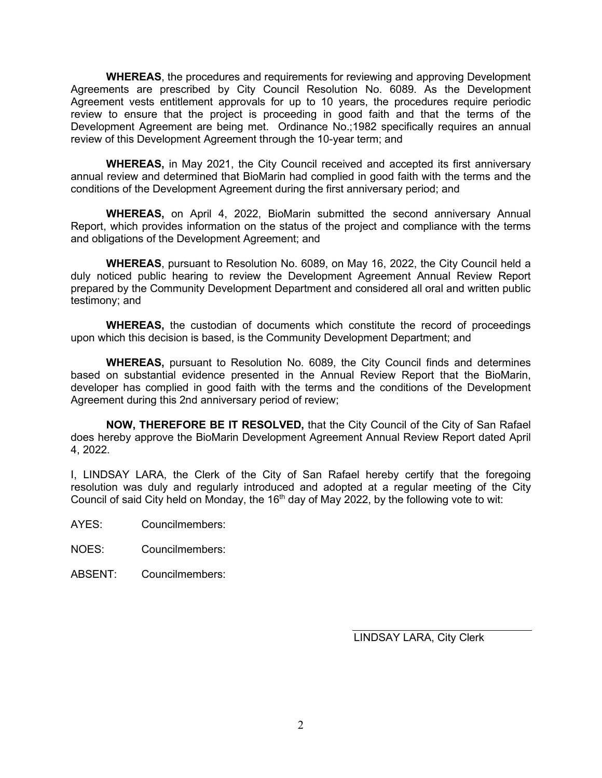**WHEREAS**, the procedures and requirements for reviewing and approving Development Agreements are prescribed by City Council Resolution No. 6089. As the Development Agreement vests entitlement approvals for up to 10 years, the procedures require periodic review to ensure that the project is proceeding in good faith and that the terms of the Development Agreement are being met. Ordinance No.;1982 specifically requires an annual review of this Development Agreement through the 10-year term; and

**WHEREAS,** in May 2021, the City Council received and accepted its first anniversary annual review and determined that BioMarin had complied in good faith with the terms and the conditions of the Development Agreement during the first anniversary period; and

**WHEREAS,** on April 4, 2022, BioMarin submitted the second anniversary Annual Report, which provides information on the status of the project and compliance with the terms and obligations of the Development Agreement; and

**WHEREAS**, pursuant to Resolution No. 6089, on May 16, 2022, the City Council held a duly noticed public hearing to review the Development Agreement Annual Review Report prepared by the Community Development Department and considered all oral and written public testimony; and

**WHEREAS,** the custodian of documents which constitute the record of proceedings upon which this decision is based, is the Community Development Department; and

**WHEREAS,** pursuant to Resolution No. 6089, the City Council finds and determines based on substantial evidence presented in the Annual Review Report that the BioMarin, developer has complied in good faith with the terms and the conditions of the Development Agreement during this 2nd anniversary period of review;

**NOW, THEREFORE BE IT RESOLVED,** that the City Council of the City of San Rafael does hereby approve the BioMarin Development Agreement Annual Review Report dated April 4, 2022.

I, LINDSAY LARA, the Clerk of the City of San Rafael hereby certify that the foregoing resolution was duly and regularly introduced and adopted at a regular meeting of the City Council of said City held on Monday, the  $16<sup>th</sup>$  day of May 2022, by the following vote to wit:

AYES: Councilmembers:

NOES: Councilmembers:

ABSENT: Councilmembers:

LINDSAY LARA, City Clerk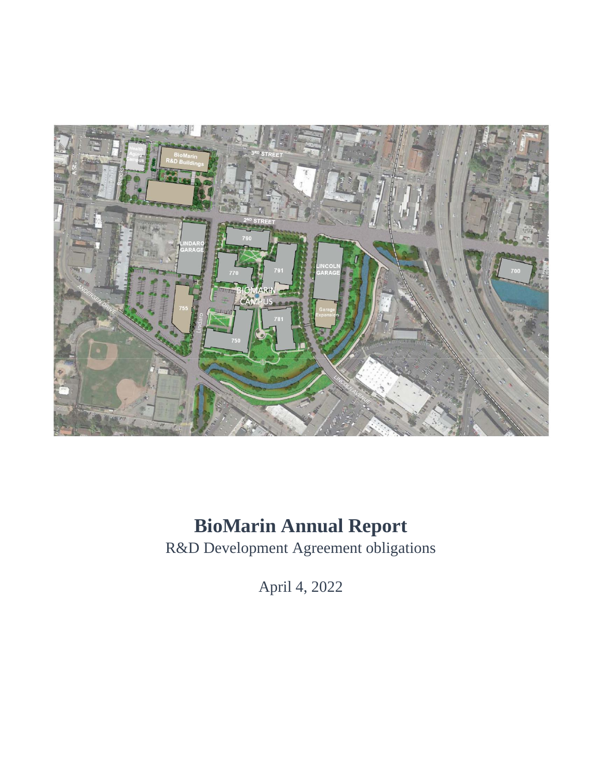

# **BioMarin Annual Report**

R&D Development Agreement obligations

April 4, 2022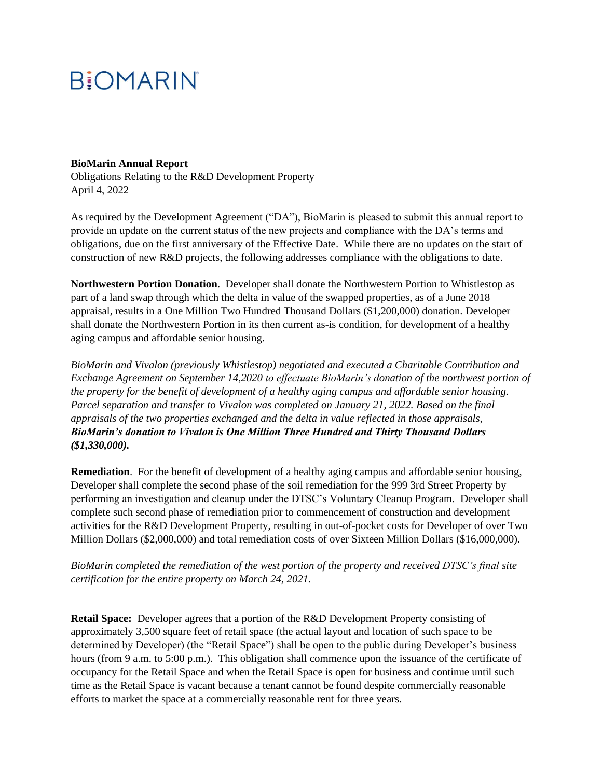# **BiOMARIN**

#### **BioMarin Annual Report**

Obligations Relating to the R&D Development Property April 4, 2022

As required by the Development Agreement ("DA"), BioMarin is pleased to submit this annual report to provide an update on the current status of the new projects and compliance with the DA's terms and obligations, due on the first anniversary of the Effective Date. While there are no updates on the start of construction of new R&D projects, the following addresses compliance with the obligations to date.

**Northwestern Portion Donation**. Developer shall donate the Northwestern Portion to Whistlestop as part of a land swap through which the delta in value of the swapped properties, as of a June 2018 appraisal, results in a One Million Two Hundred Thousand Dollars (\$1,200,000) donation. Developer shall donate the Northwestern Portion in its then current as-is condition, for development of a healthy aging campus and affordable senior housing.

*BioMarin and Vivalon (previously Whistlestop) negotiated and executed a Charitable Contribution and Exchange Agreement on September 14,2020 to effectuate BioMarin's donation of the northwest portion of the property for the benefit of development of a healthy aging campus and affordable senior housing. Parcel separation and transfer to Vivalon was completed on January 21, 2022. Based on the final appraisals of the two properties exchanged and the delta in value reflected in those appraisals, BioMarin's donation to Vivalon is One Million Three Hundred and Thirty Thousand Dollars (\$1,330,000).*

**Remediation**. For the benefit of development of a healthy aging campus and affordable senior housing, Developer shall complete the second phase of the soil remediation for the 999 3rd Street Property by performing an investigation and cleanup under the DTSC's Voluntary Cleanup Program. Developer shall complete such second phase of remediation prior to commencement of construction and development activities for the R&D Development Property, resulting in out-of-pocket costs for Developer of over Two Million Dollars (\$2,000,000) and total remediation costs of over Sixteen Million Dollars (\$16,000,000).

# *BioMarin completed the remediation of the west portion of the property and received DTSC's final site certification for the entire property on March 24, 2021.*

**Retail Space:** Developer agrees that a portion of the R&D Development Property consisting of approximately 3,500 square feet of retail space (the actual layout and location of such space to be determined by Developer) (the "Retail Space") shall be open to the public during Developer's business hours (from 9 a.m. to 5:00 p.m.). This obligation shall commence upon the issuance of the certificate of occupancy for the Retail Space and when the Retail Space is open for business and continue until such time as the Retail Space is vacant because a tenant cannot be found despite commercially reasonable efforts to market the space at a commercially reasonable rent for three years.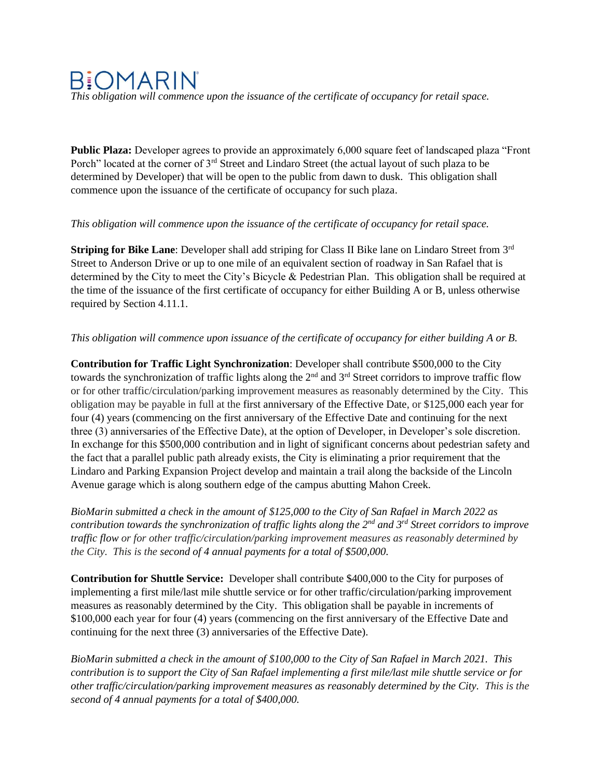# **BIOMARIN**

*This obligation will commence upon the issuance of the certificate of occupancy for retail space.*

**Public Plaza:** Developer agrees to provide an approximately 6,000 square feet of landscaped plaza "Front Porch" located at the corner of 3<sup>rd</sup> Street and Lindaro Street (the actual layout of such plaza to be determined by Developer) that will be open to the public from dawn to dusk. This obligation shall commence upon the issuance of the certificate of occupancy for such plaza.

#### *This obligation will commence upon the issuance of the certificate of occupancy for retail space.*

**Striping for Bike Lane**: Developer shall add striping for Class II Bike lane on Lindaro Street from 3<sup>rd</sup> Street to Anderson Drive or up to one mile of an equivalent section of roadway in San Rafael that is determined by the City to meet the City's Bicycle & Pedestrian Plan. This obligation shall be required at the time of the issuance of the first certificate of occupancy for either Building A or B, unless otherwise required by Section 4.11.1.

# *This obligation will commence upon issuance of the certificate of occupancy for either building A or B.*

**Contribution for Traffic Light Synchronization**: Developer shall contribute \$500,000 to the City towards the synchronization of traffic lights along the 2<sup>nd</sup> and 3<sup>rd</sup> Street corridors to improve traffic flow or for other traffic/circulation/parking improvement measures as reasonably determined by the City. This obligation may be payable in full at the first anniversary of the Effective Date, or \$125,000 each year for four (4) years (commencing on the first anniversary of the Effective Date and continuing for the next three (3) anniversaries of the Effective Date), at the option of Developer, in Developer's sole discretion. In exchange for this \$500,000 contribution and in light of significant concerns about pedestrian safety and the fact that a parallel public path already exists, the City is eliminating a prior requirement that the Lindaro and Parking Expansion Project develop and maintain a trail along the backside of the Lincoln Avenue garage which is along southern edge of the campus abutting Mahon Creek.

*BioMarin submitted a check in the amount of \$125,000 to the City of San Rafael in March 2022 as contribution towards the synchronization of traffic lights along the 2nd and 3rd Street corridors to improve traffic flow or for other traffic/circulation/parking improvement measures as reasonably determined by the City. This is the second of 4 annual payments for a total of \$500,000.*

**Contribution for Shuttle Service:** Developer shall contribute \$400,000 to the City for purposes of implementing a first mile/last mile shuttle service or for other traffic/circulation/parking improvement measures as reasonably determined by the City. This obligation shall be payable in increments of \$100,000 each year for four (4) years (commencing on the first anniversary of the Effective Date and continuing for the next three (3) anniversaries of the Effective Date).

*BioMarin submitted a check in the amount of \$100,000 to the City of San Rafael in March 2021. This contribution is to support the City of San Rafael implementing a first mile/last mile shuttle service or for other traffic/circulation/parking improvement measures as reasonably determined by the City. This is the second of 4 annual payments for a total of \$400,000.*